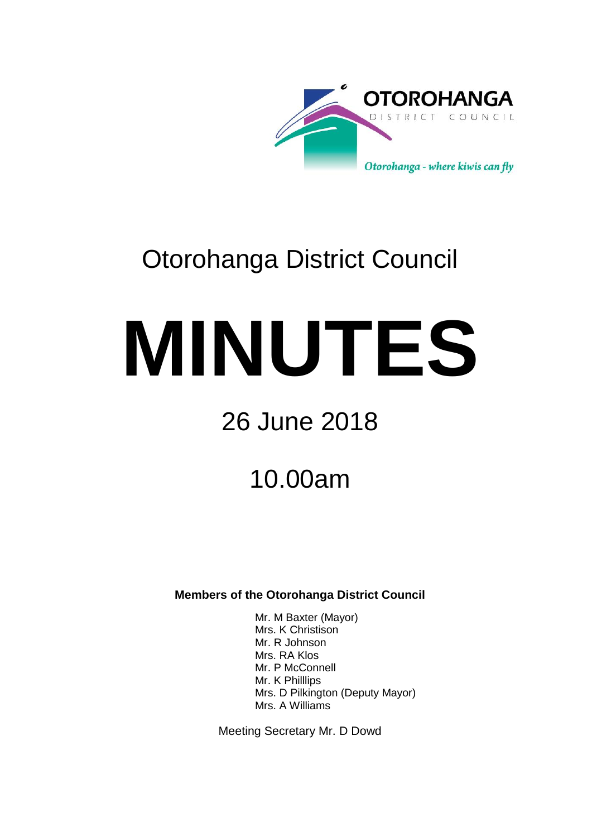

# Otorohanga District Council

# **MINUTES**

# 26 June 2018

## 10.00am

**Members of the Otorohanga District Council**

Mr. M Baxter (Mayor) Mrs. K Christison Mr. R Johnson Mrs. RA Klos Mr. P McConnell Mr. K Philllips Mrs. D Pilkington (Deputy Mayor) Mrs. A Williams

Meeting Secretary Mr. D Dowd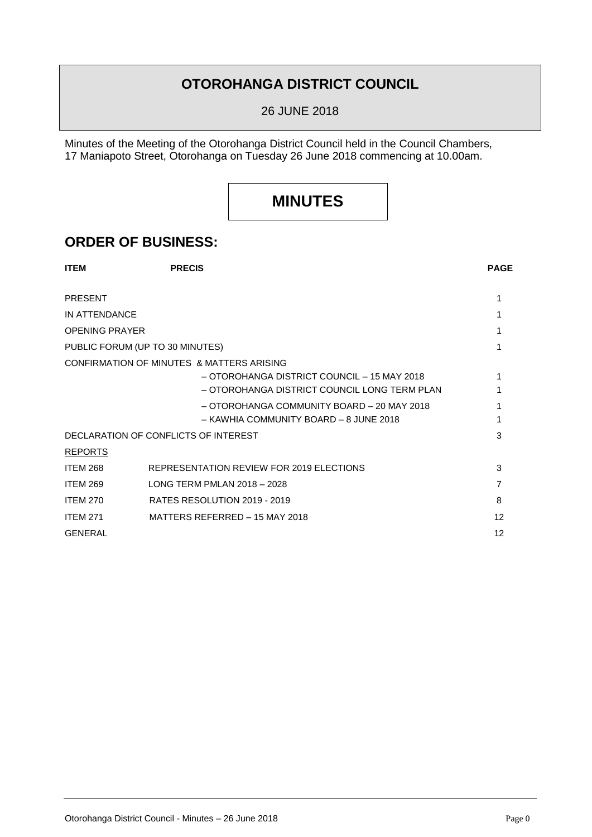## **OTOROHANGA DISTRICT COUNCIL**

26 JUNE 2018

Minutes of the Meeting of the Otorohanga District Council held in the Council Chambers, 17 Maniapoto Street, Otorohanga on Tuesday 26 June 2018 commencing at 10.00am.

## **MINUTES**

### **ORDER OF BUSINESS:**

| <b>ITEM</b>           | <b>PRECIS</b>                                | <b>PAGE</b> |
|-----------------------|----------------------------------------------|-------------|
| <b>PRESENT</b>        |                                              |             |
| IN ATTENDANCE         |                                              |             |
| <b>OPENING PRAYER</b> |                                              |             |
|                       | PUBLIC FORUM (UP TO 30 MINUTES)              |             |
|                       | CONFIRMATION OF MINUTES & MATTERS ARISING    |             |
|                       | - OTOROHANGA DISTRICT COUNCIL - 15 MAY 2018  |             |
|                       | - OTOROHANGA DISTRICT COUNCIL LONG TERM PLAN |             |
|                       | - OTOROHANGA COMMUNITY BOARD - 20 MAY 2018   |             |
|                       | - KAWHIA COMMUNITY BOARD - 8 JUNE 2018       |             |
|                       | DECLARATION OF CONFLICTS OF INTEREST         | 3           |
| <b>REPORTS</b>        |                                              |             |
| <b>ITEM 268</b>       | REPRESENTATION REVIEW FOR 2019 ELECTIONS     | 3           |
| <b>ITEM 269</b>       | LONG TERM PMLAN 2018 - 2028                  | 7           |
| <b>ITEM 270</b>       | RATES RESOLUTION 2019 - 2019                 | 8           |
| <b>ITEM 271</b>       | MATTERS REFERRED - 15 MAY 2018               | 12          |
| <b>GENERAL</b>        |                                              | 12          |
|                       |                                              |             |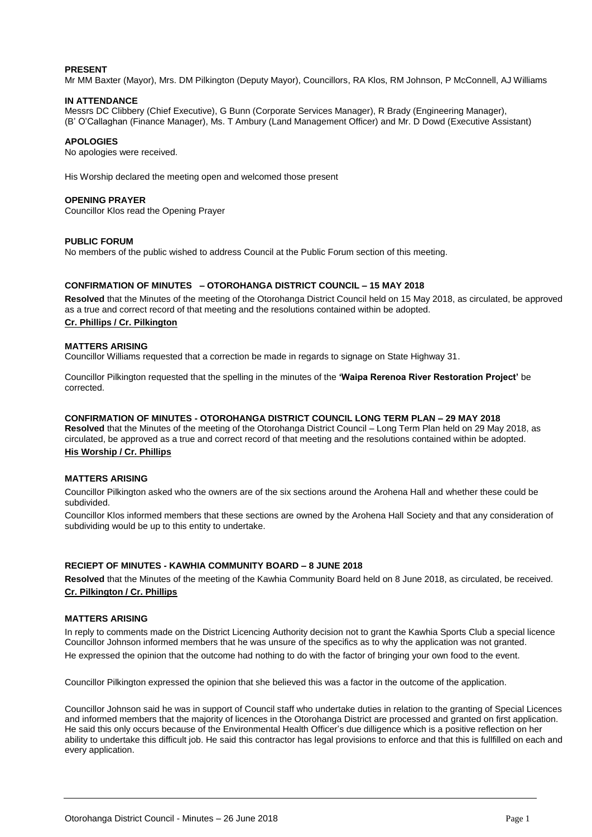#### **PRESENT**

Mr MM Baxter (Mayor), Mrs. DM Pilkington (Deputy Mayor), Councillors, RA Klos, RM Johnson, P McConnell, AJ Williams

#### **IN ATTENDANCE**

Messrs DC Clibbery (Chief Executive), G Bunn (Corporate Services Manager), R Brady (Engineering Manager), (B' O'Callaghan (Finance Manager), Ms. T Ambury (Land Management Officer) and Mr. D Dowd (Executive Assistant)

#### **APOLOGIES**

No apologies were received.

His Worship declared the meeting open and welcomed those present

#### **OPENING PRAYER**

Councillor Klos read the Opening Prayer

#### **PUBLIC FORUM**

No members of the public wished to address Council at the Public Forum section of this meeting.

#### **CONFIRMATION OF MINUTES – OTOROHANGA DISTRICT COUNCIL – 15 MAY 2018**

**Resolved** that the Minutes of the meeting of the Otorohanga District Council held on 15 May 2018, as circulated, be approved as a true and correct record of that meeting and the resolutions contained within be adopted.

#### **Cr. Phillips / Cr. Pilkington**

#### **MATTERS ARISING**

Councillor Williams requested that a correction be made in regards to signage on State Highway 31.

Councillor Pilkington requested that the spelling in the minutes of the **'Waipa Rerenoa River Restoration Project'** be corrected.

#### **CONFIRMATION OF MINUTES - OTOROHANGA DISTRICT COUNCIL LONG TERM PLAN – 29 MAY 2018**

**Resolved** that the Minutes of the meeting of the Otorohanga District Council – Long Term Plan held on 29 May 2018, as circulated, be approved as a true and correct record of that meeting and the resolutions contained within be adopted.

#### **His Worship / Cr. Phillips**

#### **MATTERS ARISING**

Councillor Pilkington asked who the owners are of the six sections around the Arohena Hall and whether these could be subdivided.

Councillor Klos informed members that these sections are owned by the Arohena Hall Society and that any consideration of subdividing would be up to this entity to undertake.

#### **RECIEPT OF MINUTES - KAWHIA COMMUNITY BOARD – 8 JUNE 2018**

**Resolved** that the Minutes of the meeting of the Kawhia Community Board held on 8 June 2018, as circulated, be received. **Cr. Pilkington / Cr. Phillips**

#### **MATTERS ARISING**

In reply to comments made on the District Licencing Authority decision not to grant the Kawhia Sports Club a special licence Councillor Johnson informed members that he was unsure of the specifics as to why the application was not granted. He expressed the opinion that the outcome had nothing to do with the factor of bringing your own food to the event.

Councillor Pilkington expressed the opinion that she believed this was a factor in the outcome of the application.

Councillor Johnson said he was in support of Council staff who undertake duties in relation to the granting of Special Licences and informed members that the majority of licences in the Otorohanga District are processed and granted on first application. He said this only occurs because of the Environmental Health Officer's due dilligence which is a positive reflection on her ability to undertake this difficult job. He said this contractor has legal provisions to enforce and that this is fullfilled on each and every application.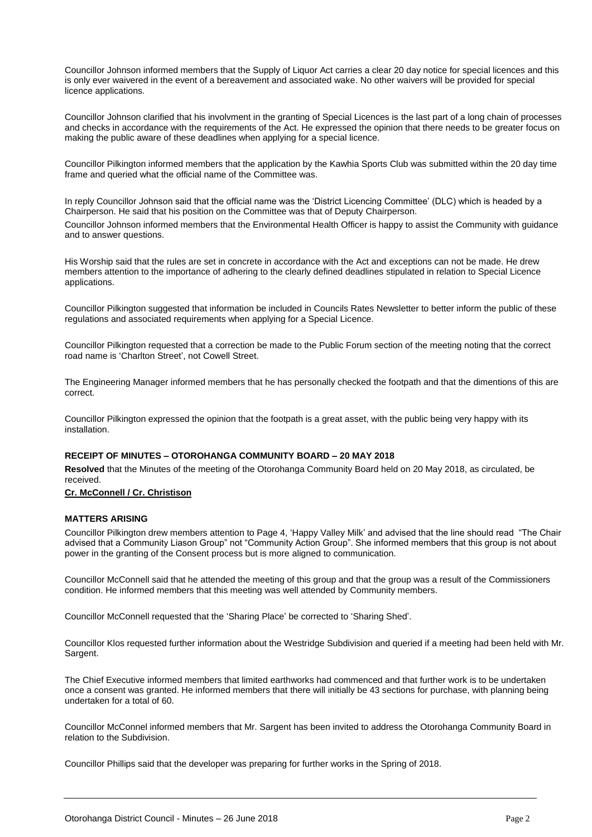Councillor Johnson informed members that the Supply of Liquor Act carries a clear 20 day notice for special licences and this is only ever waivered in the event of a bereavement and associated wake. No other waivers will be provided for special licence applications.

Councillor Johnson clarified that his involvment in the granting of Special Licences is the last part of a long chain of processes and checks in accordance with the requirements of the Act. He expressed the opinion that there needs to be greater focus on making the public aware of these deadlines when applying for a special licence.

Councillor Pilkington informed members that the application by the Kawhia Sports Club was submitted within the 20 day time frame and queried what the official name of the Committee was.

In reply Councillor Johnson said that the official name was the 'District Licencing Committee' (DLC) which is headed by a Chairperson. He said that his position on the Committee was that of Deputy Chairperson. Councillor Johnson informed members that the Environmental Health Officer is happy to assist the Community with guidance

and to answer questions.

His Worship said that the rules are set in concrete in accordance with the Act and exceptions can not be made. He drew members attention to the importance of adhering to the clearly defined deadlines stipulated in relation to Special Licence applications.

Councillor Pilkington suggested that information be included in Councils Rates Newsletter to better inform the public of these regulations and associated requirements when applying for a Special Licence.

Councillor Pilkington requested that a correction be made to the Public Forum section of the meeting noting that the correct road name is 'Charlton Street', not Cowell Street.

The Engineering Manager informed members that he has personally checked the footpath and that the dimentions of this are correct.

Councillor Pilkington expressed the opinion that the footpath is a great asset, with the public being very happy with its installation.

#### **RECEIPT OF MINUTES – OTOROHANGA COMMUNITY BOARD – 20 MAY 2018**

**Resolved** that the Minutes of the meeting of the Otorohanga Community Board held on 20 May 2018, as circulated, be received.

#### **Cr. McConnell / Cr. Christison**

#### **MATTERS ARISING**

Councillor Pilkington drew members attention to Page 4, 'Happy Valley Milk' and advised that the line should read "The Chair advised that a Community Liason Group" not "Community Action Group". She informed members that this group is not about power in the granting of the Consent process but is more aligned to communication.

Councillor McConnell said that he attended the meeting of this group and that the group was a result of the Commissioners condition. He informed members that this meeting was well attended by Community members.

Councillor McConnell requested that the 'Sharing Place' be corrected to 'Sharing Shed'.

Councillor Klos requested further information about the Westridge Subdivision and queried if a meeting had been held with Mr. Sargent.

The Chief Executive informed members that limited earthworks had commenced and that further work is to be undertaken once a consent was granted. He informed members that there will initially be 43 sections for purchase, with planning being undertaken for a total of 60.

Councillor McConnel informed members that Mr. Sargent has been invited to address the Otorohanga Community Board in relation to the Subdivision.

Councillor Phillips said that the developer was preparing for further works in the Spring of 2018.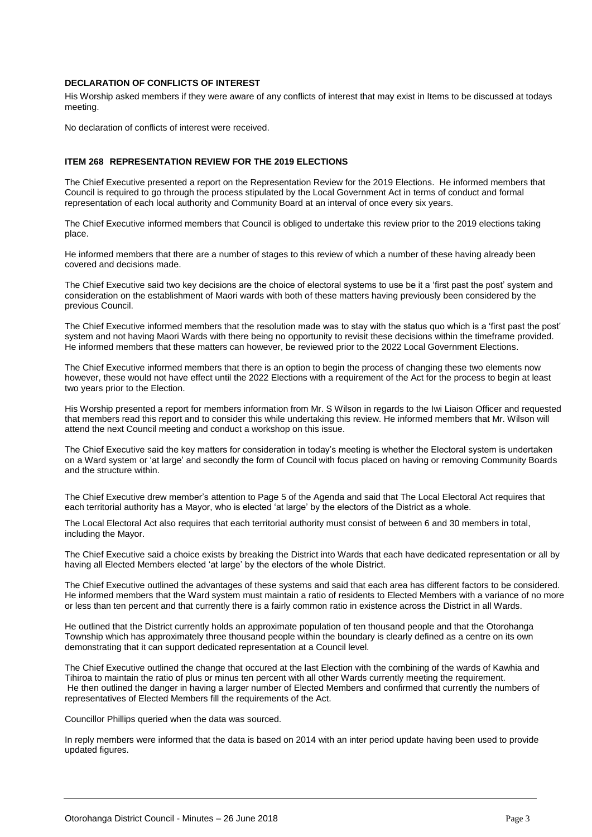#### **DECLARATION OF CONFLICTS OF INTEREST**

His Worship asked members if they were aware of any conflicts of interest that may exist in Items to be discussed at todays meeting.

No declaration of conflicts of interest were received.

#### **ITEM 268 REPRESENTATION REVIEW FOR THE 2019 ELECTIONS**

The Chief Executive presented a report on the Representation Review for the 2019 Elections. He informed members that Council is required to go through the process stipulated by the Local Government Act in terms of conduct and formal representation of each local authority and Community Board at an interval of once every six years.

The Chief Executive informed members that Council is obliged to undertake this review prior to the 2019 elections taking place.

He informed members that there are a number of stages to this review of which a number of these having already been covered and decisions made.

The Chief Executive said two key decisions are the choice of electoral systems to use be it a 'first past the post' system and consideration on the establishment of Maori wards with both of these matters having previously been considered by the previous Council.

The Chief Executive informed members that the resolution made was to stay with the status quo which is a 'first past the post' system and not having Maori Wards with there being no opportunity to revisit these decisions within the timeframe provided. He informed members that these matters can however, be reviewed prior to the 2022 Local Government Elections.

The Chief Executive informed members that there is an option to begin the process of changing these two elements now however, these would not have effect until the 2022 Elections with a requirement of the Act for the process to begin at least two years prior to the Election.

His Worship presented a report for members information from Mr. S Wilson in regards to the Iwi Liaison Officer and requested that members read this report and to consider this while undertaking this review. He informed members that Mr. Wilson will attend the next Council meeting and conduct a workshop on this issue.

The Chief Executive said the key matters for consideration in today's meeting is whether the Electoral system is undertaken on a Ward system or 'at large' and secondly the form of Council with focus placed on having or removing Community Boards and the structure within.

The Chief Executive drew member's attention to Page 5 of the Agenda and said that The Local Electoral Act requires that each territorial authority has a Mayor, who is elected 'at large' by the electors of the District as a whole.

The Local Electoral Act also requires that each territorial authority must consist of between 6 and 30 members in total, including the Mayor.

The Chief Executive said a choice exists by breaking the District into Wards that each have dedicated representation or all by having all Elected Members elected 'at large' by the electors of the whole District.

The Chief Executive outlined the advantages of these systems and said that each area has different factors to be considered. He informed members that the Ward system must maintain a ratio of residents to Elected Members with a variance of no more or less than ten percent and that currently there is a fairly common ratio in existence across the District in all Wards.

He outlined that the District currently holds an approximate population of ten thousand people and that the Otorohanga Township which has approximately three thousand people within the boundary is clearly defined as a centre on its own demonstrating that it can support dedicated representation at a Council level.

The Chief Executive outlined the change that occured at the last Election with the combining of the wards of Kawhia and Tihiroa to maintain the ratio of plus or minus ten percent with all other Wards currently meeting the requirement. He then outlined the danger in having a larger number of Elected Members and confirmed that currently the numbers of representatives of Elected Members fill the requirements of the Act.

Councillor Phillips queried when the data was sourced.

In reply members were informed that the data is based on 2014 with an inter period update having been used to provide updated figures.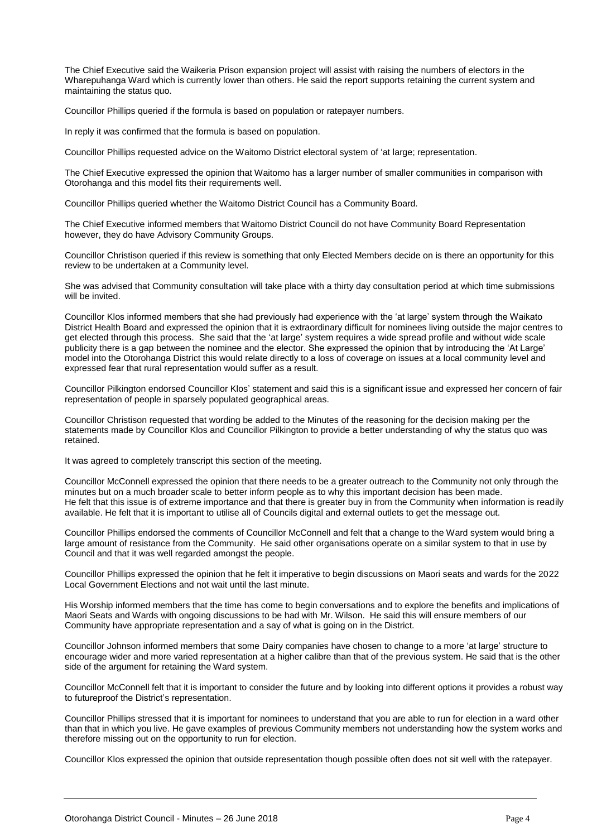The Chief Executive said the Waikeria Prison expansion project will assist with raising the numbers of electors in the Wharepuhanga Ward which is currently lower than others. He said the report supports retaining the current system and maintaining the status quo.

Councillor Phillips queried if the formula is based on population or ratepayer numbers.

In reply it was confirmed that the formula is based on population.

Councillor Phillips requested advice on the Waitomo District electoral system of 'at large; representation.

The Chief Executive expressed the opinion that Waitomo has a larger number of smaller communities in comparison with Otorohanga and this model fits their requirements well.

Councillor Phillips queried whether the Waitomo District Council has a Community Board.

The Chief Executive informed members that Waitomo District Council do not have Community Board Representation however, they do have Advisory Community Groups.

Councillor Christison queried if this review is something that only Elected Members decide on is there an opportunity for this review to be undertaken at a Community level.

She was advised that Community consultation will take place with a thirty day consultation period at which time submissions will be invited.

Councillor Klos informed members that she had previously had experience with the 'at large' system through the Waikato District Health Board and expressed the opinion that it is extraordinary difficult for nominees living outside the major centres to get elected through this process. She said that the 'at large' system requires a wide spread profile and without wide scale publicity there is a gap between the nominee and the elector. She expressed the opinion that by introducing the 'At Large' model into the Otorohanga District this would relate directly to a loss of coverage on issues at a local community level and expressed fear that rural representation would suffer as a result.

Councillor Pilkington endorsed Councillor Klos' statement and said this is a significant issue and expressed her concern of fair representation of people in sparsely populated geographical areas.

Councillor Christison requested that wording be added to the Minutes of the reasoning for the decision making per the statements made by Councillor Klos and Councillor Pilkington to provide a better understanding of why the status quo was retained.

It was agreed to completely transcript this section of the meeting.

Councillor McConnell expressed the opinion that there needs to be a greater outreach to the Community not only through the minutes but on a much broader scale to better inform people as to why this important decision has been made. He felt that this issue is of extreme importance and that there is greater buy in from the Community when information is readily available. He felt that it is important to utilise all of Councils digital and external outlets to get the message out.

Councillor Phillips endorsed the comments of Councillor McConnell and felt that a change to the Ward system would bring a large amount of resistance from the Community. He said other organisations operate on a similar system to that in use by Council and that it was well regarded amongst the people.

Councillor Phillips expressed the opinion that he felt it imperative to begin discussions on Maori seats and wards for the 2022 Local Government Elections and not wait until the last minute.

His Worship informed members that the time has come to begin conversations and to explore the benefits and implications of Maori Seats and Wards with ongoing discussions to be had with Mr. Wilson. He said this will ensure members of our Community have appropriate representation and a say of what is going on in the District.

Councillor Johnson informed members that some Dairy companies have chosen to change to a more 'at large' structure to encourage wider and more varied representation at a higher calibre than that of the previous system. He said that is the other side of the argument for retaining the Ward system.

Councillor McConnell felt that it is important to consider the future and by looking into different options it provides a robust way to futureproof the District's representation.

Councillor Phillips stressed that it is important for nominees to understand that you are able to run for election in a ward other than that in which you live. He gave examples of previous Community members not understanding how the system works and therefore missing out on the opportunity to run for election.

Councillor Klos expressed the opinion that outside representation though possible often does not sit well with the ratepayer.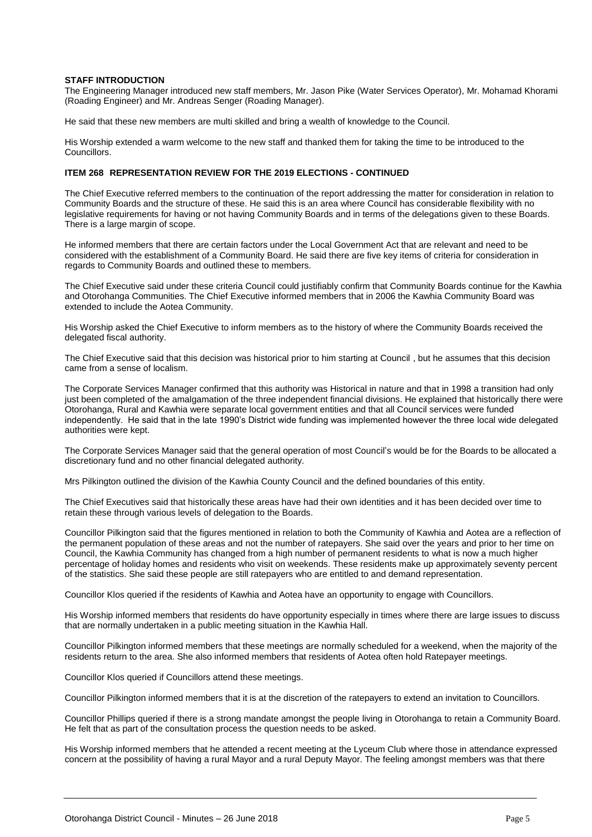#### **STAFF INTRODUCTION**

The Engineering Manager introduced new staff members, Mr. Jason Pike (Water Services Operator), Mr. Mohamad Khorami (Roading Engineer) and Mr. Andreas Senger (Roading Manager).

He said that these new members are multi skilled and bring a wealth of knowledge to the Council.

His Worship extended a warm welcome to the new staff and thanked them for taking the time to be introduced to the Councillors.

#### **ITEM 268 REPRESENTATION REVIEW FOR THE 2019 ELECTIONS - CONTINUED**

The Chief Executive referred members to the continuation of the report addressing the matter for consideration in relation to Community Boards and the structure of these. He said this is an area where Council has considerable flexibility with no legislative requirements for having or not having Community Boards and in terms of the delegations given to these Boards. There is a large margin of scope.

He informed members that there are certain factors under the Local Government Act that are relevant and need to be considered with the establishment of a Community Board. He said there are five key items of criteria for consideration in regards to Community Boards and outlined these to members.

The Chief Executive said under these criteria Council could justifiably confirm that Community Boards continue for the Kawhia and Otorohanga Communities. The Chief Executive informed members that in 2006 the Kawhia Community Board was extended to include the Aotea Community.

His Worship asked the Chief Executive to inform members as to the history of where the Community Boards received the delegated fiscal authority.

The Chief Executive said that this decision was historical prior to him starting at Council , but he assumes that this decision came from a sense of localism.

The Corporate Services Manager confirmed that this authority was Historical in nature and that in 1998 a transition had only just been completed of the amalgamation of the three independent financial divisions. He explained that historically there were Otorohanga, Rural and Kawhia were separate local government entities and that all Council services were funded independently. He said that in the late 1990's District wide funding was implemented however the three local wide delegated authorities were kept.

The Corporate Services Manager said that the general operation of most Council's would be for the Boards to be allocated a discretionary fund and no other financial delegated authority.

Mrs Pilkington outlined the division of the Kawhia County Council and the defined boundaries of this entity.

The Chief Executives said that historically these areas have had their own identities and it has been decided over time to retain these through various levels of delegation to the Boards.

Councillor Pilkington said that the figures mentioned in relation to both the Community of Kawhia and Aotea are a reflection of the permanent population of these areas and not the number of ratepayers. She said over the years and prior to her time on Council, the Kawhia Community has changed from a high number of permanent residents to what is now a much higher percentage of holiday homes and residents who visit on weekends. These residents make up approximately seventy percent of the statistics. She said these people are still ratepayers who are entitled to and demand representation.

Councillor Klos queried if the residents of Kawhia and Aotea have an opportunity to engage with Councillors.

His Worship informed members that residents do have opportunity especially in times where there are large issues to discuss that are normally undertaken in a public meeting situation in the Kawhia Hall.

Councillor Pilkington informed members that these meetings are normally scheduled for a weekend, when the majority of the residents return to the area. She also informed members that residents of Aotea often hold Ratepayer meetings.

Councillor Klos queried if Councillors attend these meetings.

Councillor Pilkington informed members that it is at the discretion of the ratepayers to extend an invitation to Councillors.

Councillor Phillips queried if there is a strong mandate amongst the people living in Otorohanga to retain a Community Board. He felt that as part of the consultation process the question needs to be asked.

His Worship informed members that he attended a recent meeting at the Lyceum Club where those in attendance expressed concern at the possibility of having a rural Mayor and a rural Deputy Mayor. The feeling amongst members was that there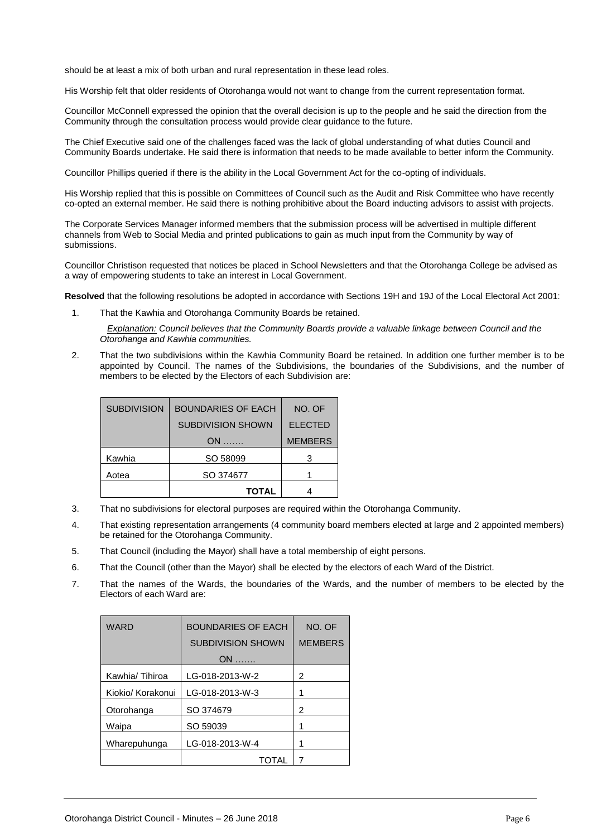should be at least a mix of both urban and rural representation in these lead roles.

His Worship felt that older residents of Otorohanga would not want to change from the current representation format.

Councillor McConnell expressed the opinion that the overall decision is up to the people and he said the direction from the Community through the consultation process would provide clear guidance to the future.

The Chief Executive said one of the challenges faced was the lack of global understanding of what duties Council and Community Boards undertake. He said there is information that needs to be made available to better inform the Community.

Councillor Phillips queried if there is the ability in the Local Government Act for the co-opting of individuals.

His Worship replied that this is possible on Committees of Council such as the Audit and Risk Committee who have recently co-opted an external member. He said there is nothing prohibitive about the Board inducting advisors to assist with projects.

The Corporate Services Manager informed members that the submission process will be advertised in multiple different channels from Web to Social Media and printed publications to gain as much input from the Community by way of submissions.

Councillor Christison requested that notices be placed in School Newsletters and that the Otorohanga College be advised as a way of empowering students to take an interest in Local Government.

**Resolved** that the following resolutions be adopted in accordance with Sections 19H and 19J of the Local Electoral Act 2001:

1. That the Kawhia and Otorohanga Community Boards be retained.

*Explanation: Council believes that the Community Boards provide a valuable linkage between Council and the Otorohanga and Kawhia communities.*

2. That the two subdivisions within the Kawhia Community Board be retained. In addition one further member is to be appointed by Council. The names of the Subdivisions, the boundaries of the Subdivisions, and the number of members to be elected by the Electors of each Subdivision are:

| <b>SUBDIVISION</b> | <b>BOUNDARIES OF EACH</b><br>NO. OF |                |
|--------------------|-------------------------------------|----------------|
|                    | <b>SUBDIVISION SHOWN</b>            | <b>ELECTED</b> |
|                    | $ON$                                | <b>MEMBERS</b> |
| Kawhia             | SO 58099                            | з              |
| Aotea              | SO 374677                           |                |
|                    | <b>TOTAL</b>                        |                |

- 3. That no subdivisions for electoral purposes are required within the Otorohanga Community.
- 4. That existing representation arrangements (4 community board members elected at large and 2 appointed members) be retained for the Otorohanga Community.
- 5. That Council (including the Mayor) shall have a total membership of eight persons.
- 6. That the Council (other than the Mayor) shall be elected by the electors of each Ward of the District.
- 7. That the names of the Wards, the boundaries of the Wards, and the number of members to be elected by the Electors of each Ward are:

| <b>WARD</b>       | <b>BOUNDARIES OF EACH</b> | NO. OF         |
|-------------------|---------------------------|----------------|
|                   | <b>SUBDIVISION SHOWN</b>  | <b>MEMBERS</b> |
|                   | $ON$                      |                |
| Kawhia/Tihiroa    | LG-018-2013-W-2           | 2              |
| Kiokio/ Korakonui | LG-018-2013-W-3           | 1              |
| Otorohanga        | SO 374679                 | 2              |
| Waipa             | SO 59039                  | 1              |
| Wharepuhunga      | LG-018-2013-W-4           | 1              |
|                   | TOTAL                     |                |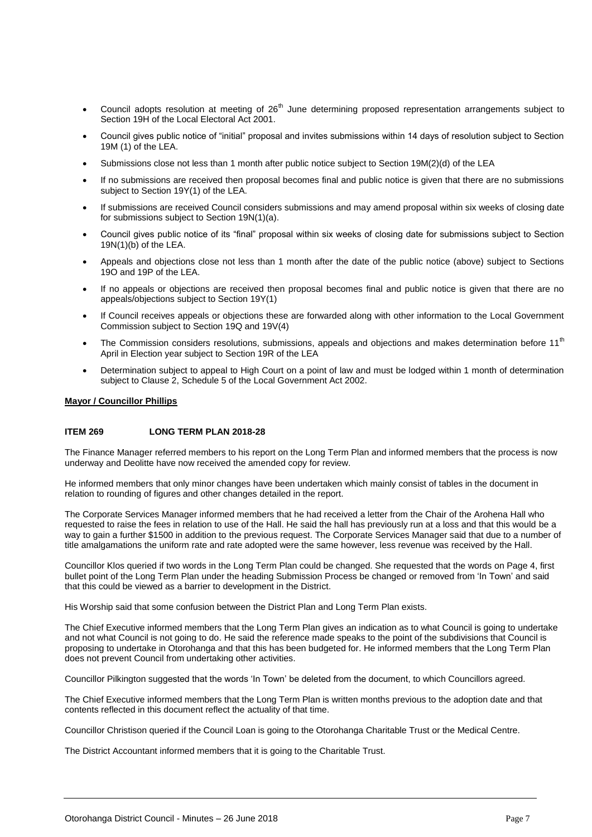- Council adopts resolution at meeting of 26<sup>th</sup> June determining proposed representation arrangements subject to Section 19H of the Local Electoral Act 2001.
- Council gives public notice of "initial" proposal and invites submissions within 14 days of resolution subject to Section 19M (1) of the LEA.
- Submissions close not less than 1 month after public notice subject to Section 19M(2)(d) of the LEA
- If no submissions are received then proposal becomes final and public notice is given that there are no submissions subject to Section 19Y(1) of the LEA.
- If submissions are received Council considers submissions and may amend proposal within six weeks of closing date for submissions subject to Section 19N(1)(a).
- Council gives public notice of its "final" proposal within six weeks of closing date for submissions subject to Section  $19N(1)(b)$  of the LEA.
- Appeals and objections close not less than 1 month after the date of the public notice (above) subject to Sections 19O and 19P of the LEA.
- If no appeals or objections are received then proposal becomes final and public notice is given that there are no appeals/objections subject to Section 19Y(1)
- If Council receives appeals or objections these are forwarded along with other information to the Local Government Commission subject to Section 19Q and 19V(4)
- The Commission considers resolutions, submissions, appeals and objections and makes determination before 11<sup>th</sup> April in Election year subject to Section 19R of the LEA
- Determination subject to appeal to High Court on a point of law and must be lodged within 1 month of determination subject to Clause 2, Schedule 5 of the Local Government Act 2002.

#### **Mayor / Councillor Phillips**

#### **ITEM 269 LONG TERM PLAN 2018-28**

The Finance Manager referred members to his report on the Long Term Plan and informed members that the process is now underway and Deolitte have now received the amended copy for review.

He informed members that only minor changes have been undertaken which mainly consist of tables in the document in relation to rounding of figures and other changes detailed in the report.

The Corporate Services Manager informed members that he had received a letter from the Chair of the Arohena Hall who requested to raise the fees in relation to use of the Hall. He said the hall has previously run at a loss and that this would be a way to gain a further \$1500 in addition to the previous request. The Corporate Services Manager said that due to a number of title amalgamations the uniform rate and rate adopted were the same however, less revenue was received by the Hall.

Councillor Klos queried if two words in the Long Term Plan could be changed. She requested that the words on Page 4, first bullet point of the Long Term Plan under the heading Submission Process be changed or removed from 'In Town' and said that this could be viewed as a barrier to development in the District.

His Worship said that some confusion between the District Plan and Long Term Plan exists.

The Chief Executive informed members that the Long Term Plan gives an indication as to what Council is going to undertake and not what Council is not going to do. He said the reference made speaks to the point of the subdivisions that Council is proposing to undertake in Otorohanga and that this has been budgeted for. He informed members that the Long Term Plan does not prevent Council from undertaking other activities.

Councillor Pilkington suggested that the words 'In Town' be deleted from the document, to which Councillors agreed.

The Chief Executive informed members that the Long Term Plan is written months previous to the adoption date and that contents reflected in this document reflect the actuality of that time.

Councillor Christison queried if the Council Loan is going to the Otorohanga Charitable Trust or the Medical Centre.

The District Accountant informed members that it is going to the Charitable Trust.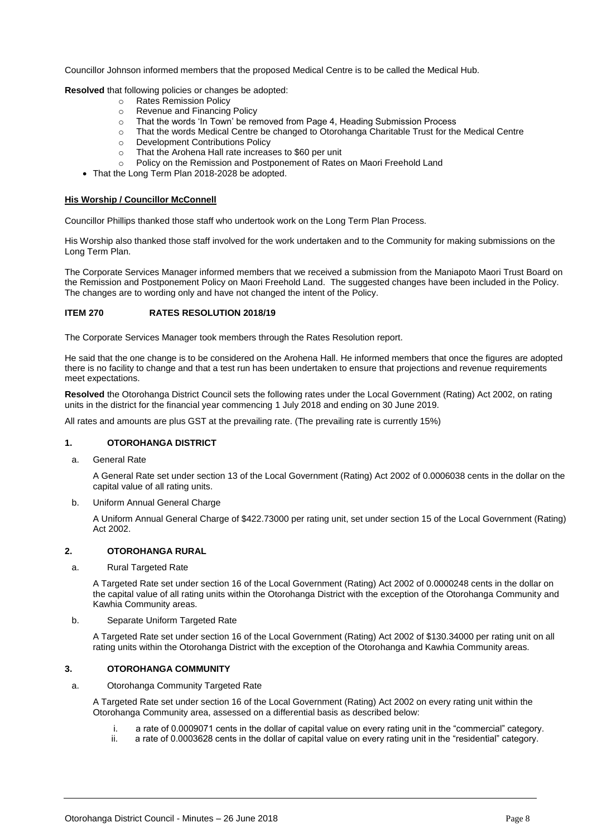Councillor Johnson informed members that the proposed Medical Centre is to be called the Medical Hub.

**Resolved** that following policies or changes be adopted:

- o Rates Remission Policy
- o Revenue and Financing Policy
- o That the words 'In Town' be removed from Page 4, Heading Submission Process
- o That the words Medical Centre be changed to Otorohanga Charitable Trust for the Medical Centre
- o Development Contributions Policy
- o That the Arohena Hall rate increases to \$60 per unit
- o Policy on the Remission and Postponement of Rates on Maori Freehold Land
- That the Long Term Plan 2018-2028 be adopted.

#### **His Worship / Councillor McConnell**

Councillor Phillips thanked those staff who undertook work on the Long Term Plan Process.

His Worship also thanked those staff involved for the work undertaken and to the Community for making submissions on the Long Term Plan.

The Corporate Services Manager informed members that we received a submission from the Maniapoto Maori Trust Board on the Remission and Postponement Policy on Maori Freehold Land. The suggested changes have been included in the Policy. The changes are to wording only and have not changed the intent of the Policy.

#### **ITEM 270 RATES RESOLUTION 2018/19**

The Corporate Services Manager took members through the Rates Resolution report.

He said that the one change is to be considered on the Arohena Hall. He informed members that once the figures are adopted there is no facility to change and that a test run has been undertaken to ensure that projections and revenue requirements meet expectations.

**Resolved** the Otorohanga District Council sets the following rates under the Local Government (Rating) Act 2002, on rating units in the district for the financial year commencing 1 July 2018 and ending on 30 June 2019.

All rates and amounts are plus GST at the prevailing rate. (The prevailing rate is currently 15%)

#### **1. OTOROHANGA DISTRICT**

a. General Rate

A General Rate set under section 13 of the Local Government (Rating) Act 2002 of 0.0006038 cents in the dollar on the capital value of all rating units.

b. Uniform Annual General Charge

A Uniform Annual General Charge of \$422.73000 per rating unit, set under section 15 of the Local Government (Rating) Act 2002.

#### **2. OTOROHANGA RURAL**

a. Rural Targeted Rate

A Targeted Rate set under section 16 of the Local Government (Rating) Act 2002 of 0.0000248 cents in the dollar on the capital value of all rating units within the Otorohanga District with the exception of the Otorohanga Community and Kawhia Community areas.

#### b. Separate Uniform Targeted Rate

A Targeted Rate set under section 16 of the Local Government (Rating) Act 2002 of \$130.34000 per rating unit on all rating units within the Otorohanga District with the exception of the Otorohanga and Kawhia Community areas.

#### **3. OTOROHANGA COMMUNITY**

a. Otorohanga Community Targeted Rate

A Targeted Rate set under section 16 of the Local Government (Rating) Act 2002 on every rating unit within the Otorohanga Community area, assessed on a differential basis as described below:

- i. a rate of 0.0009071 cents in the dollar of capital value on every rating unit in the "commercial" category.
- ii. a rate of 0.0003628 cents in the dollar of capital value on every rating unit in the "residential" category.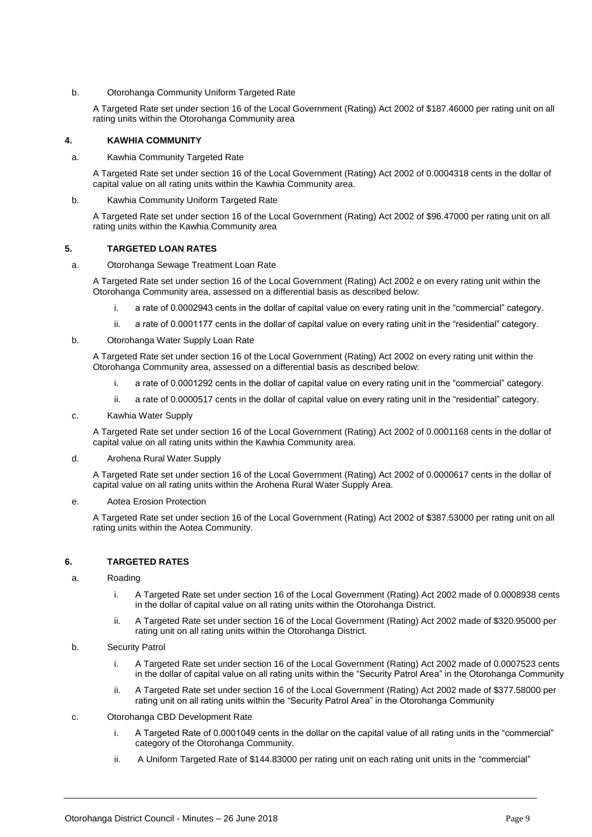#### b. Otorohanga Community Uniform Targeted Rate

A Targeted Rate set under section 16 of the Local Government (Rating) Act 2002 of \$187.46000 per rating unit on all rating units within the Otorohanga Community area

#### **4. KAWHIA COMMUNITY**

#### a. Kawhia Community Targeted Rate

A Targeted Rate set under section 16 of the Local Government (Rating) Act 2002 of 0.0004318 cents in the dollar of capital value on all rating units within the Kawhia Community area.

#### b. Kawhia Community Uniform Targeted Rate

A Targeted Rate set under section 16 of the Local Government (Rating) Act 2002 of \$96.47000 per rating unit on all rating units within the Kawhia Community area

#### **5. TARGETED LOAN RATES**

#### a. Otorohanga Sewage Treatment Loan Rate

A Targeted Rate set under section 16 of the Local Government (Rating) Act 2002 e on every rating unit within the Otorohanga Community area, assessed on a differential basis as described below:

- i. a rate of 0.0002943 cents in the dollar of capital value on every rating unit in the "commercial" category.
- ii. a rate of 0.0001177 cents in the dollar of capital value on every rating unit in the "residential" category.

#### b. Otorohanga Water Supply Loan Rate

A Targeted Rate set under section 16 of the Local Government (Rating) Act 2002 on every rating unit within the Otorohanga Community area, assessed on a differential basis as described below:

- i. a rate of 0.0001292 cents in the dollar of capital value on every rating unit in the "commercial" category.
- ii. a rate of 0.0000517 cents in the dollar of capital value on every rating unit in the "residential" category.
- c. Kawhia Water Supply

A Targeted Rate set under section 16 of the Local Government (Rating) Act 2002 of 0.0001168 cents in the dollar of capital value on all rating units within the Kawhia Community area.

#### d. Arohena Rural Water Supply

A Targeted Rate set under section 16 of the Local Government (Rating) Act 2002 of 0.0000617 cents in the dollar of capital value on all rating units within the Arohena Rural Water Supply Area.

#### e. Aotea Erosion Protection

A Targeted Rate set under section 16 of the Local Government (Rating) Act 2002 of \$387.53000 per rating unit on all rating units within the Aotea Community.

#### **6. TARGETED RATES**

#### a. Roading

- i. A Targeted Rate set under section 16 of the Local Government (Rating) Act 2002 made of 0.0008938 cents in the dollar of capital value on all rating units within the Otorohanga District.
- ii. A Targeted Rate set under section 16 of the Local Government (Rating) Act 2002 made of \$320.95000 per rating unit on all rating units within the Otorohanga District.
- b. Security Patrol
	- i. A Targeted Rate set under section 16 of the Local Government (Rating) Act 2002 made of 0.0007523 cents in the dollar of capital value on all rating units within the "Security Patrol Area" in the Otorohanga Community
	- ii. A Targeted Rate set under section 16 of the Local Government (Rating) Act 2002 made of \$377.58000 per rating unit on all rating units within the "Security Patrol Area" in the Otorohanga Community
- c. Otorohanga CBD Development Rate
	- i. A Targeted Rate of 0.0001049 cents in the dollar on the capital value of all rating units in the "commercial" category of the Otorohanga Community.
	- ii. A Uniform Targeted Rate of \$144.83000 per rating unit on each rating unit units in the "commercial"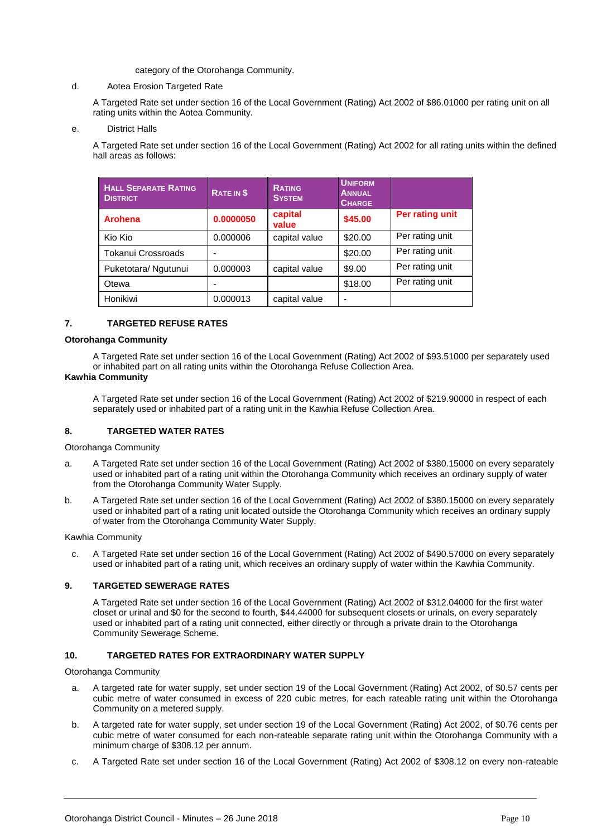#### category of the Otorohanga Community.

#### d. Aotea Erosion Targeted Rate

A Targeted Rate set under section 16 of the Local Government (Rating) Act 2002 of \$86.01000 per rating unit on all rating units within the Aotea Community.

#### e. District Halls

A Targeted Rate set under section 16 of the Local Government (Rating) Act 2002 for all rating units within the defined hall areas as follows:

| <b>HALL SEPARATE RATING</b><br><b>DISTRICT</b> | RATE IN \$ | <b>RATING</b><br><b>SYSTEM</b> | <b>UNIFORM</b><br><b>ANNUAL</b><br><b>CHARGE</b> |                 |
|------------------------------------------------|------------|--------------------------------|--------------------------------------------------|-----------------|
| <b>Arohena</b>                                 | 0.0000050  | capital<br>value               | \$45.00                                          | Per rating unit |
| Kio Kio                                        | 0.000006   | capital value                  | \$20.00                                          | Per rating unit |
| Tokanui Crossroads                             |            |                                | \$20.00                                          | Per rating unit |
| Puketotara/ Ngutunui                           | 0.000003   | capital value                  | \$9.00                                           | Per rating unit |
| Otewa                                          |            |                                | \$18.00                                          | Per rating unit |
| Honikiwi                                       | 0.000013   | capital value                  | -                                                |                 |

#### **7. TARGETED REFUSE RATES**

#### **Otorohanga Community**

A Targeted Rate set under section 16 of the Local Government (Rating) Act 2002 of \$93.51000 per separately used or inhabited part on all rating units within the Otorohanga Refuse Collection Area.

#### **Kawhia Community**

A Targeted Rate set under section 16 of the Local Government (Rating) Act 2002 of \$219.90000 in respect of each separately used or inhabited part of a rating unit in the Kawhia Refuse Collection Area.

#### **8. TARGETED WATER RATES**

Otorohanga Community

- a. A Targeted Rate set under section 16 of the Local Government (Rating) Act 2002 of \$380.15000 on every separately used or inhabited part of a rating unit within the Otorohanga Community which receives an ordinary supply of water from the Otorohanga Community Water Supply.
- b. A Targeted Rate set under section 16 of the Local Government (Rating) Act 2002 of \$380.15000 on every separately used or inhabited part of a rating unit located outside the Otorohanga Community which receives an ordinary supply of water from the Otorohanga Community Water Supply.

Kawhia Community

c. A Targeted Rate set under section 16 of the Local Government (Rating) Act 2002 of \$490.57000 on every separately used or inhabited part of a rating unit, which receives an ordinary supply of water within the Kawhia Community.

#### **9. TARGETED SEWERAGE RATES**

A Targeted Rate set under section 16 of the Local Government (Rating) Act 2002 of \$312.04000 for the first water closet or urinal and \$0 for the second to fourth, \$44.44000 for subsequent closets or urinals, on every separately used or inhabited part of a rating unit connected, either directly or through a private drain to the Otorohanga Community Sewerage Scheme.

#### **10. TARGETED RATES FOR EXTRAORDINARY WATER SUPPLY**

Otorohanga Community

- a. A targeted rate for water supply, set under section 19 of the Local Government (Rating) Act 2002, of \$0.57 cents per cubic metre of water consumed in excess of 220 cubic metres, for each rateable rating unit within the Otorohanga Community on a metered supply.
- b. A targeted rate for water supply, set under section 19 of the Local Government (Rating) Act 2002, of \$0.76 cents per cubic metre of water consumed for each non-rateable separate rating unit within the Otorohanga Community with a minimum charge of \$308.12 per annum.
- c. A Targeted Rate set under section 16 of the Local Government (Rating) Act 2002 of \$308.12 on every non-rateable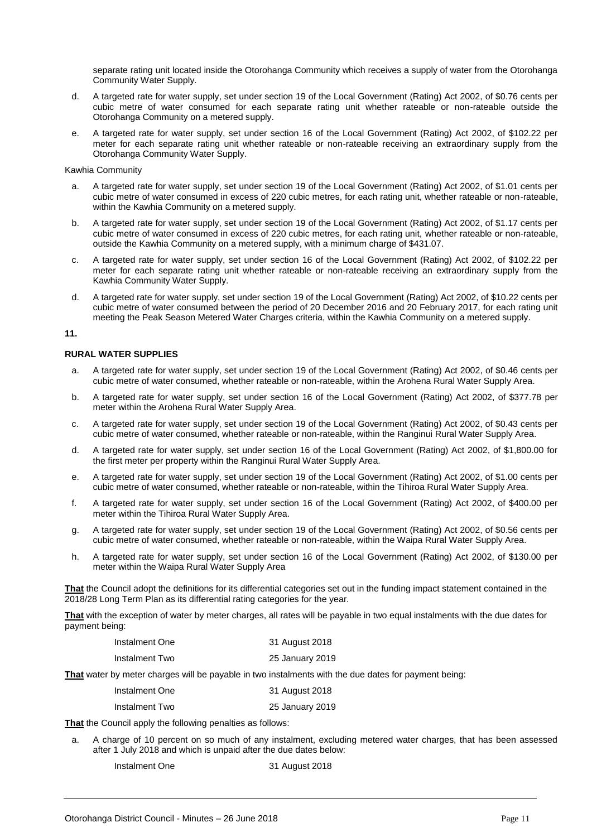separate rating unit located inside the Otorohanga Community which receives a supply of water from the Otorohanga Community Water Supply.

- d. A targeted rate for water supply, set under section 19 of the Local Government (Rating) Act 2002, of \$0.76 cents per cubic metre of water consumed for each separate rating unit whether rateable or non-rateable outside the Otorohanga Community on a metered supply.
- e. A targeted rate for water supply, set under section 16 of the Local Government (Rating) Act 2002, of \$102.22 per meter for each separate rating unit whether rateable or non-rateable receiving an extraordinary supply from the Otorohanga Community Water Supply.

#### Kawhia Community

- a. A targeted rate for water supply, set under section 19 of the Local Government (Rating) Act 2002, of \$1.01 cents per cubic metre of water consumed in excess of 220 cubic metres, for each rating unit, whether rateable or non-rateable, within the Kawhia Community on a metered supply.
- b. A targeted rate for water supply, set under section 19 of the Local Government (Rating) Act 2002, of \$1.17 cents per cubic metre of water consumed in excess of 220 cubic metres, for each rating unit, whether rateable or non-rateable, outside the Kawhia Community on a metered supply, with a minimum charge of \$431.07.
- c. A targeted rate for water supply, set under section 16 of the Local Government (Rating) Act 2002, of \$102.22 per meter for each separate rating unit whether rateable or non-rateable receiving an extraordinary supply from the Kawhia Community Water Supply.
- d. A targeted rate for water supply, set under section 19 of the Local Government (Rating) Act 2002, of \$10.22 cents per cubic metre of water consumed between the period of 20 December 2016 and 20 February 2017, for each rating unit meeting the Peak Season Metered Water Charges criteria, within the Kawhia Community on a metered supply.

#### **11.**

#### **RURAL WATER SUPPLIES**

- a. A targeted rate for water supply, set under section 19 of the Local Government (Rating) Act 2002, of \$0.46 cents per cubic metre of water consumed, whether rateable or non-rateable, within the Arohena Rural Water Supply Area.
- b. A targeted rate for water supply, set under section 16 of the Local Government (Rating) Act 2002, of \$377.78 per meter within the Arohena Rural Water Supply Area.
- c. A targeted rate for water supply, set under section 19 of the Local Government (Rating) Act 2002, of \$0.43 cents per cubic metre of water consumed, whether rateable or non-rateable, within the Ranginui Rural Water Supply Area.
- d. A targeted rate for water supply, set under section 16 of the Local Government (Rating) Act 2002, of \$1,800.00 for the first meter per property within the Ranginui Rural Water Supply Area.
- e. A targeted rate for water supply, set under section 19 of the Local Government (Rating) Act 2002, of \$1.00 cents per cubic metre of water consumed, whether rateable or non-rateable, within the Tihiroa Rural Water Supply Area.
- f. A targeted rate for water supply, set under section 16 of the Local Government (Rating) Act 2002, of \$400.00 per meter within the Tihiroa Rural Water Supply Area.
- g. A targeted rate for water supply, set under section 19 of the Local Government (Rating) Act 2002, of \$0.56 cents per cubic metre of water consumed, whether rateable or non-rateable, within the Waipa Rural Water Supply Area.
- h. A targeted rate for water supply, set under section 16 of the Local Government (Rating) Act 2002, of \$130.00 per meter within the Waipa Rural Water Supply Area

**That** the Council adopt the definitions for its differential categories set out in the funding impact statement contained in the 2018/28 Long Term Plan as its differential rating categories for the year.

**That** with the exception of water by meter charges, all rates will be payable in two equal instalments with the due dates for payment being:

| Instalment One | 31 August 2018  |
|----------------|-----------------|
| Instalment Two | 25 January 2019 |

**That** water by meter charges will be payable in two instalments with the due dates for payment being:

| Instalment One | 31 August 2018  |
|----------------|-----------------|
| Instalment Two | 25 January 2019 |

**That** the Council apply the following penalties as follows:

- a. A charge of 10 percent on so much of any instalment, excluding metered water charges, that has been assessed after 1 July 2018 and which is unpaid after the due dates below:
	- Instalment One 31 August 2018
		-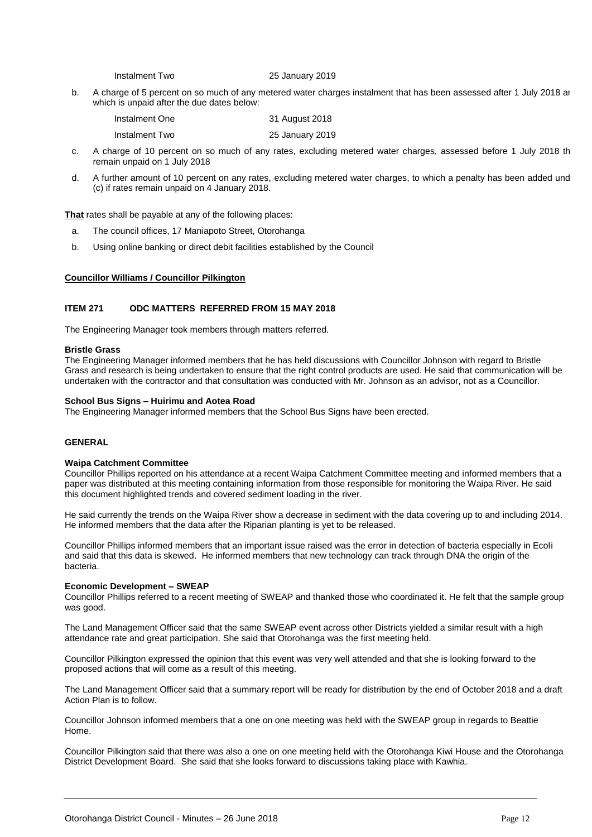Instalment Two 25 January 2019

b. A charge of 5 percent on so much of any metered water charges instalment that has been assessed after 1 July 2018 ar which is unpaid after the due dates below:

| Instalment One | 31 August 2018  |
|----------------|-----------------|
| Instalment Two | 25 January 2019 |

- c. A charge of 10 percent on so much of any rates, excluding metered water charges, assessed before 1 July 2018 th remain unpaid on 1 July 2018
- d. A further amount of 10 percent on any rates, excluding metered water charges, to which a penalty has been added und (c) if rates remain unpaid on 4 January 2018.

**That** rates shall be payable at any of the following places:

- a. The council offices, 17 Maniapoto Street, Otorohanga
- b. Using online banking or direct debit facilities established by the Council

#### **Councillor Williams / Councillor Pilkington**

#### **ITEM 271 ODC MATTERS REFERRED FROM 15 MAY 2018**

The Engineering Manager took members through matters referred.

#### **Bristle Grass**

The Engineering Manager informed members that he has held discussions with Councillor Johnson with regard to Bristle Grass and research is being undertaken to ensure that the right control products are used. He said that communication will be undertaken with the contractor and that consultation was conducted with Mr. Johnson as an advisor, not as a Councillor.

#### **School Bus Signs – Huirimu and Aotea Road**

The Engineering Manager informed members that the School Bus Signs have been erected.

#### **GENERAL**

#### **Waipa Catchment Committee**

Councillor Phillips reported on his attendance at a recent Waipa Catchment Committee meeting and informed members that a paper was distributed at this meeting containing information from those responsible for monitoring the Waipa River. He said this document highlighted trends and covered sediment loading in the river.

He said currently the trends on the Waipa River show a decrease in sediment with the data covering up to and including 2014. He informed members that the data after the Riparian planting is yet to be released.

Councillor Phillips informed members that an important issue raised was the error in detection of bacteria especially in Ecoli and said that this data is skewed. He informed members that new technology can track through DNA the origin of the bacteria.

#### **Economic Development – SWEAP**

Councillor Phillips referred to a recent meeting of SWEAP and thanked those who coordinated it. He felt that the sample group was good.

The Land Management Officer said that the same SWEAP event across other Districts yielded a similar result with a high attendance rate and great participation. She said that Otorohanga was the first meeting held.

Councillor Pilkington expressed the opinion that this event was very well attended and that she is looking forward to the proposed actions that will come as a result of this meeting.

The Land Management Officer said that a summary report will be ready for distribution by the end of October 2018 and a draft Action Plan is to follow.

Councillor Johnson informed members that a one on one meeting was held with the SWEAP group in regards to Beattie Home.

Councillor Pilkington said that there was also a one on one meeting held with the Otorohanga Kiwi House and the Otorohanga District Development Board. She said that she looks forward to discussions taking place with Kawhia.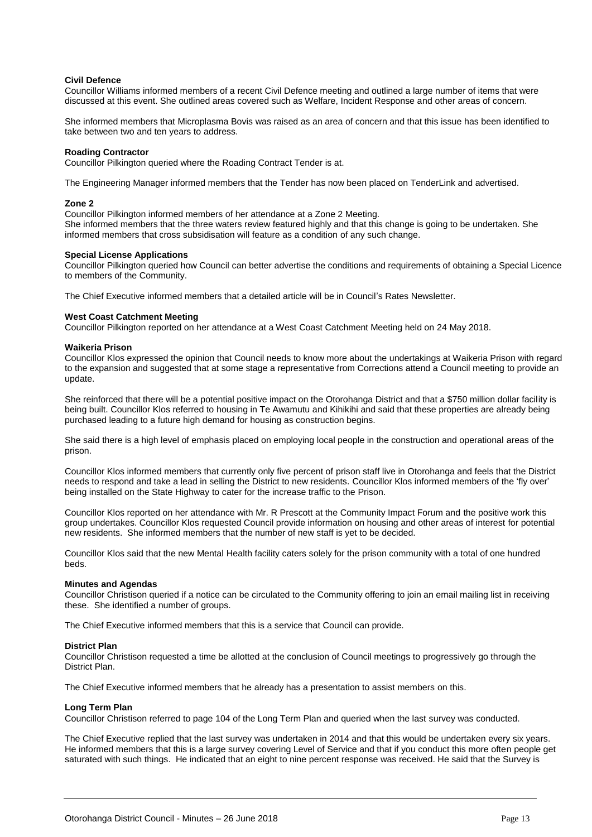#### **Civil Defence**

Councillor Williams informed members of a recent Civil Defence meeting and outlined a large number of items that were discussed at this event. She outlined areas covered such as Welfare, Incident Response and other areas of concern.

She informed members that Microplasma Bovis was raised as an area of concern and that this issue has been identified to take between two and ten years to address.

#### **Roading Contractor**

Councillor Pilkington queried where the Roading Contract Tender is at.

The Engineering Manager informed members that the Tender has now been placed on TenderLink and advertised.

#### **Zone 2**

Councillor Pilkington informed members of her attendance at a Zone 2 Meeting. She informed members that the three waters review featured highly and that this change is going to be undertaken. She informed members that cross subsidisation will feature as a condition of any such change.

#### **Special License Applications**

Councillor Pilkington queried how Council can better advertise the conditions and requirements of obtaining a Special Licence to members of the Community.

The Chief Executive informed members that a detailed article will be in Council's Rates Newsletter.

#### **West Coast Catchment Meeting**

Councillor Pilkington reported on her attendance at a West Coast Catchment Meeting held on 24 May 2018.

#### **Waikeria Prison**

Councillor Klos expressed the opinion that Council needs to know more about the undertakings at Waikeria Prison with regard to the expansion and suggested that at some stage a representative from Corrections attend a Council meeting to provide an update.

She reinforced that there will be a potential positive impact on the Otorohanga District and that a \$750 million dollar facility is being built. Councillor Klos referred to housing in Te Awamutu and Kihikihi and said that these properties are already being purchased leading to a future high demand for housing as construction begins.

She said there is a high level of emphasis placed on employing local people in the construction and operational areas of the prison.

Councillor Klos informed members that currently only five percent of prison staff live in Otorohanga and feels that the District needs to respond and take a lead in selling the District to new residents. Councillor Klos informed members of the 'fly over' being installed on the State Highway to cater for the increase traffic to the Prison.

Councillor Klos reported on her attendance with Mr. R Prescott at the Community Impact Forum and the positive work this group undertakes. Councillor Klos requested Council provide information on housing and other areas of interest for potential new residents. She informed members that the number of new staff is yet to be decided.

Councillor Klos said that the new Mental Health facility caters solely for the prison community with a total of one hundred beds.

#### **Minutes and Agendas**

Councillor Christison queried if a notice can be circulated to the Community offering to join an email mailing list in receiving these. She identified a number of groups.

The Chief Executive informed members that this is a service that Council can provide.

#### **District Plan**

Councillor Christison requested a time be allotted at the conclusion of Council meetings to progressively go through the District Plan.

The Chief Executive informed members that he already has a presentation to assist members on this.

#### **Long Term Plan**

Councillor Christison referred to page 104 of the Long Term Plan and queried when the last survey was conducted.

The Chief Executive replied that the last survey was undertaken in 2014 and that this would be undertaken every six years. He informed members that this is a large survey covering Level of Service and that if you conduct this more often people get saturated with such things. He indicated that an eight to nine percent response was received. He said that the Survey is